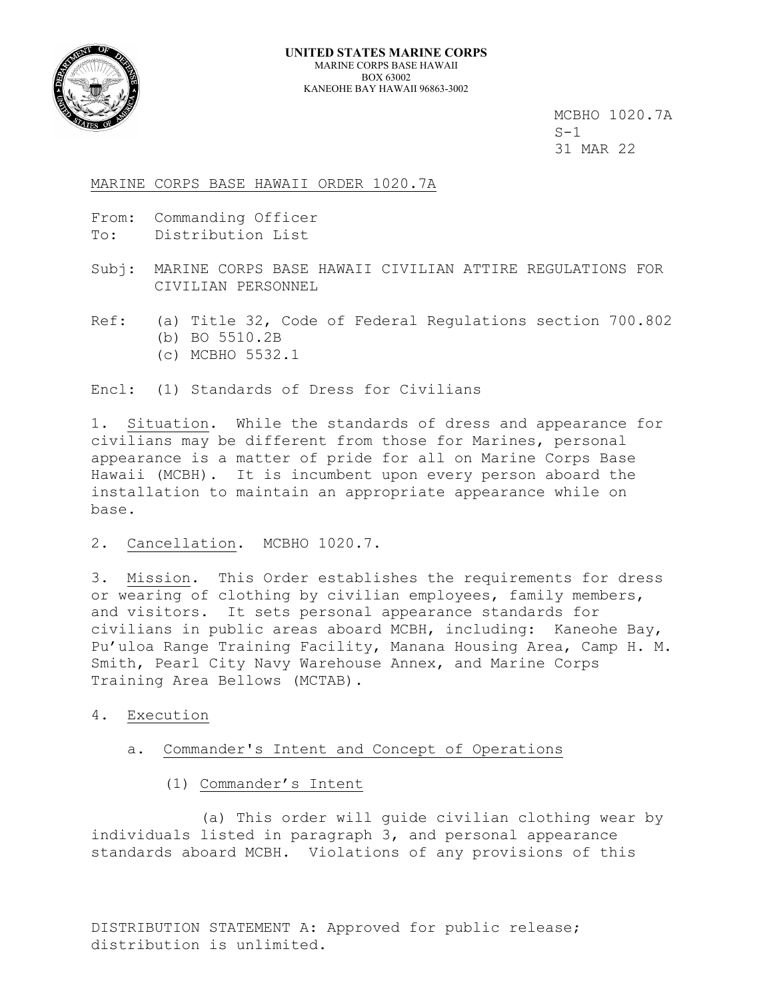

MCBHO 1020.7A<br>S-1 31 MAR 22

## MARINE CORPS BASE HAWAII ORDER 1020.7A

- From: Commanding Officer
- To: Distribution List
- Subj: MARINE CORPS BASE HAWAII CIVILIAN ATTIRE REGULATIONS FOR CIVILIAN PERSONNEL
- Ref: (a) Title 32, Code of Federal Regulations section 700.802 (b) BO 5510.2B (c) MCBHO 5532.1

Encl: (1) Standards of Dress for Civilians

1. Situation. While the standards of dress and appearance for civilians may be different from those for Marines, personal appearance is a matter of pride for all on Marine Corps Base Hawaii (MCBH). It is incumbent upon every person aboard the installation to maintain an appropriate appearance while on base.

2. Cancellation. MCBHO 1020.7.

3. Mission. This Order establishes the requirements for dress or wearing of clothing by civilian employees, family members, and visitors. It sets personal appearance standards for civilians in public areas aboard MCBH, including: Kaneohe Bay, Pu'uloa Range Training Facility, Manana Housing Area, Camp H. M. Smith, Pearl City Navy Warehouse Annex, and Marine Corps Training Area Bellows (MCTAB).

- 4. Execution
	- a. Commander's Intent and Concept of Operations
		- (1) Commander's Intent

 (a) This order will guide civilian clothing wear by individuals listed in paragraph 3, and personal appearance standards aboard MCBH. Violations of any provisions of this

DISTRIBUTION STATEMENT A: Approved for public release; distribution is unlimited.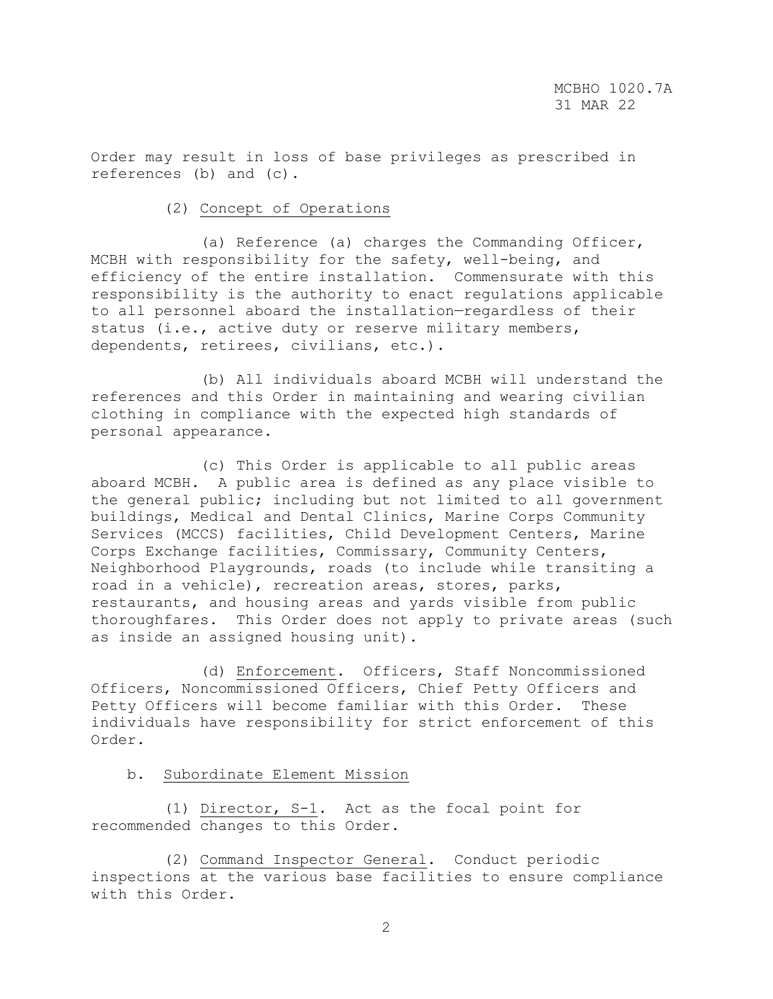Order may result in loss of base privileges as prescribed in references (b) and (c).

# (2) Concept of Operations

 (a) Reference (a) charges the Commanding Officer, MCBH with responsibility for the safety, well-being, and efficiency of the entire installation. Commensurate with this responsibility is the authority to enact regulations applicable to all personnel aboard the installation—regardless of their status (i.e., active duty or reserve military members, dependents, retirees, civilians, etc.).

 (b) All individuals aboard MCBH will understand the references and this Order in maintaining and wearing civilian clothing in compliance with the expected high standards of personal appearance.

 (c) This Order is applicable to all public areas aboard MCBH. A public area is defined as any place visible to the general public; including but not limited to all government buildings, Medical and Dental Clinics, Marine Corps Community Services (MCCS) facilities, Child Development Centers, Marine Corps Exchange facilities, Commissary, Community Centers, Neighborhood Playgrounds, roads (to include while transiting a road in a vehicle), recreation areas, stores, parks, restaurants, and housing areas and yards visible from public thoroughfares. This Order does not apply to private areas (such as inside an assigned housing unit).

 (d) Enforcement. Officers, Staff Noncommissioned Officers, Noncommissioned Officers, Chief Petty Officers and Petty Officers will become familiar with this Order. These individuals have responsibility for strict enforcement of this Order.

# b. Subordinate Element Mission

 (1) Director, S-1. Act as the focal point for recommended changes to this Order.

 (2) Command Inspector General. Conduct periodic inspections at the various base facilities to ensure compliance with this Order.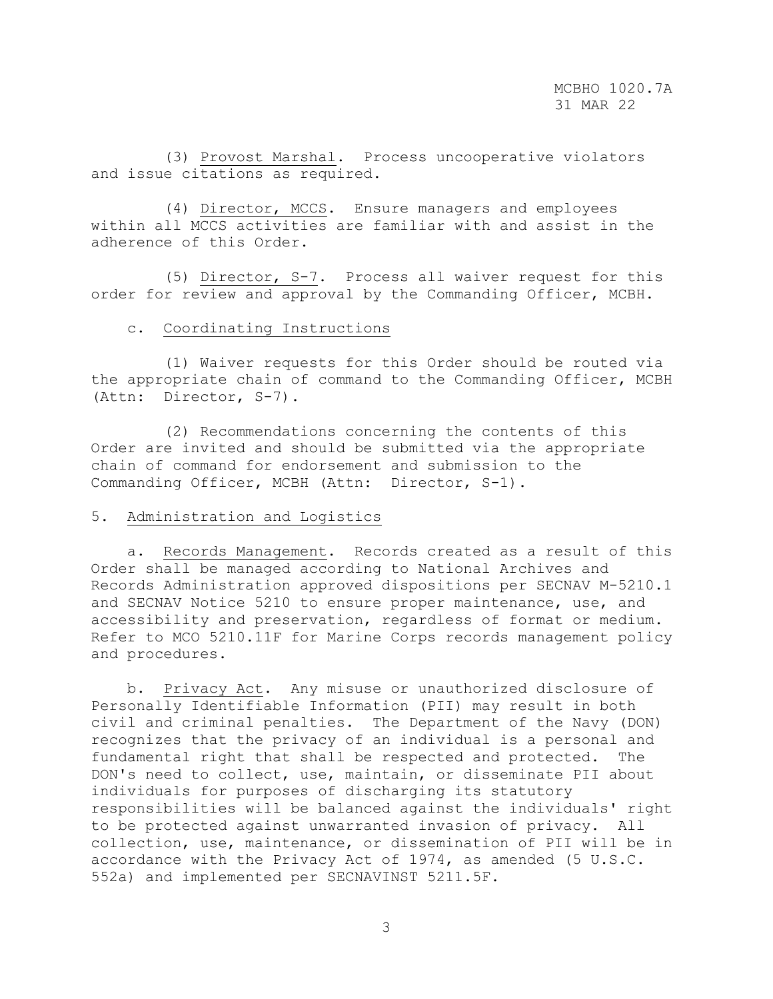(3) Provost Marshal. Process uncooperative violators and issue citations as required.

 (4) Director, MCCS. Ensure managers and employees within all MCCS activities are familiar with and assist in the adherence of this Order.

 (5) Director, S-7. Process all waiver request for this order for review and approval by the Commanding Officer, MCBH.

#### c. Coordinating Instructions

 (1) Waiver requests for this Order should be routed via the appropriate chain of command to the Commanding Officer, MCBH (Attn: Director, S-7).

 (2) Recommendations concerning the contents of this Order are invited and should be submitted via the appropriate chain of command for endorsement and submission to the Commanding Officer, MCBH (Attn: Director, S-1).

### 5. Administration and Logistics

 a. Records Management. Records created as a result of this Order shall be managed according to National Archives and Records Administration approved dispositions per SECNAV M-5210.1 and SECNAV Notice 5210 to ensure proper maintenance, use, and accessibility and preservation, regardless of format or medium. Refer to MCO 5210.11F for Marine Corps records management policy and procedures.

 b. Privacy Act. Any misuse or unauthorized disclosure of Personally Identifiable Information (PII) may result in both civil and criminal penalties. The Department of the Navy (DON) recognizes that the privacy of an individual is a personal and fundamental right that shall be respected and protected. The DON's need to collect, use, maintain, or disseminate PII about individuals for purposes of discharging its statutory responsibilities will be balanced against the individuals' right to be protected against unwarranted invasion of privacy. All collection, use, maintenance, or dissemination of PII will be in accordance with the Privacy Act of 1974, as amended (5 U.S.C. 552a) and implemented per SECNAVINST 5211.5F.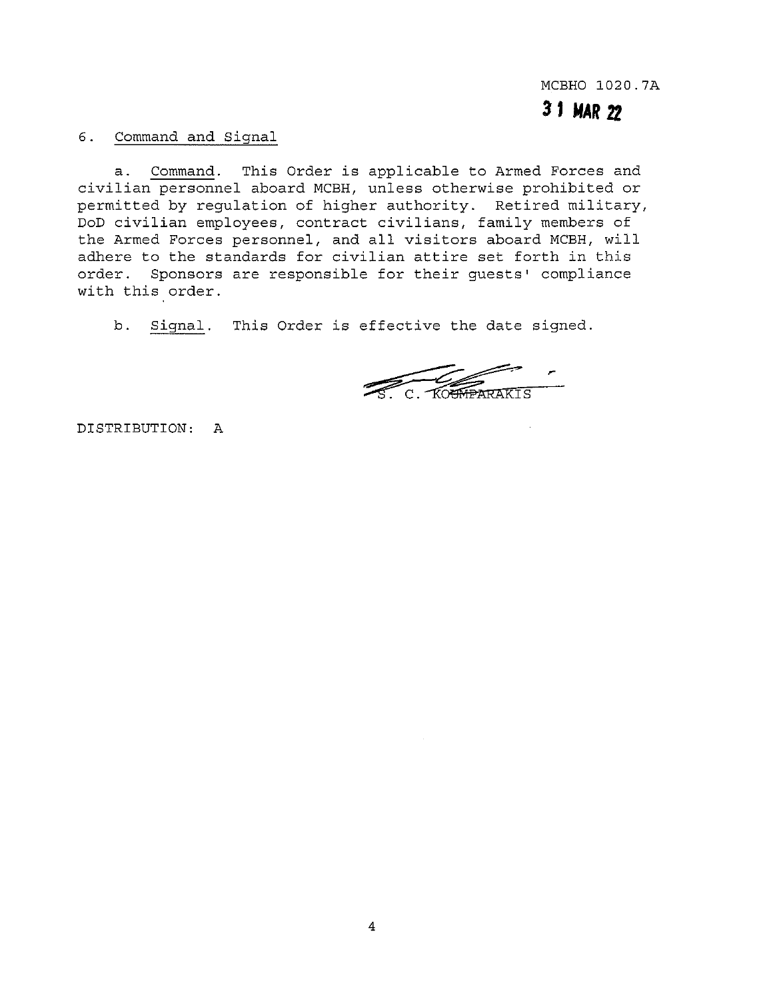MCBHO 1020.7A

**31MAR2Z** 

6. Command and Signal

a. Command. This Order is applicable to Armed Forces and civilian personnel aboard MCBH, unless otherwise prohibited or permitted by regulation of higher authority. Retired military, DoD civilian employees, contract civilians, family members of the Armed Forces personnel, and all visitors aboard MCBH, will adhere to the standards for civilian attire set forth in this order. Sponsors are responsible for their guests' compliance with this order.

b. Signal. This Order is effective the date signed.

C. KOUMPARAKIS

DISTRIBUTION: A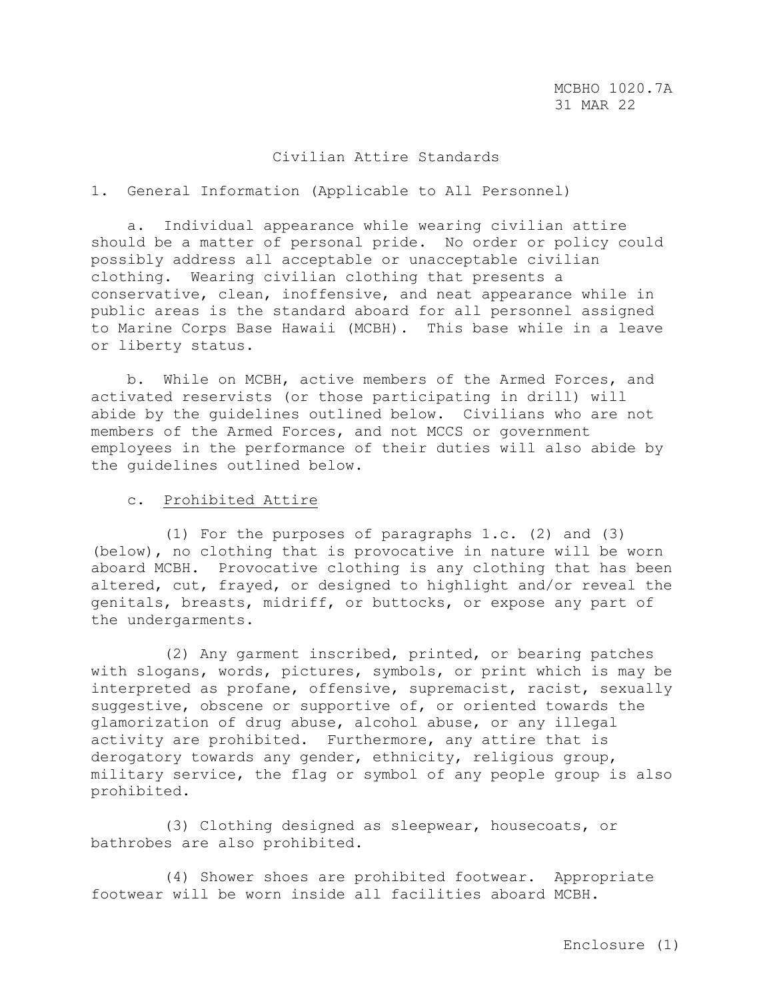## Civilian Attire Standards

### 1. General Information (Applicable to All Personnel)

 a. Individual appearance while wearing civilian attire should be a matter of personal pride. No order or policy could possibly address all acceptable or unacceptable civilian clothing. Wearing civilian clothing that presents a conservative, clean, inoffensive, and neat appearance while in public areas is the standard aboard for all personnel assigned to Marine Corps Base Hawaii (MCBH). This base while in a leave or liberty status.

 b. While on MCBH, active members of the Armed Forces, and activated reservists (or those participating in drill) will abide by the guidelines outlined below. Civilians who are not members of the Armed Forces, and not MCCS or government employees in the performance of their duties will also abide by the guidelines outlined below.

#### c. Prohibited Attire

 (1) For the purposes of paragraphs 1.c. (2) and (3) (below), no clothing that is provocative in nature will be worn aboard MCBH. Provocative clothing is any clothing that has been altered, cut, frayed, or designed to highlight and/or reveal the genitals, breasts, midriff, or buttocks, or expose any part of the undergarments.

 (2) Any garment inscribed, printed, or bearing patches with slogans, words, pictures, symbols, or print which is may be interpreted as profane, offensive, supremacist, racist, sexually suggestive, obscene or supportive of, or oriented towards the glamorization of drug abuse, alcohol abuse, or any illegal activity are prohibited. Furthermore, any attire that is derogatory towards any gender, ethnicity, religious group, military service, the flag or symbol of any people group is also prohibited.

 (3) Clothing designed as sleepwear, housecoats, or bathrobes are also prohibited.

 (4) Shower shoes are prohibited footwear. Appropriate footwear will be worn inside all facilities aboard MCBH.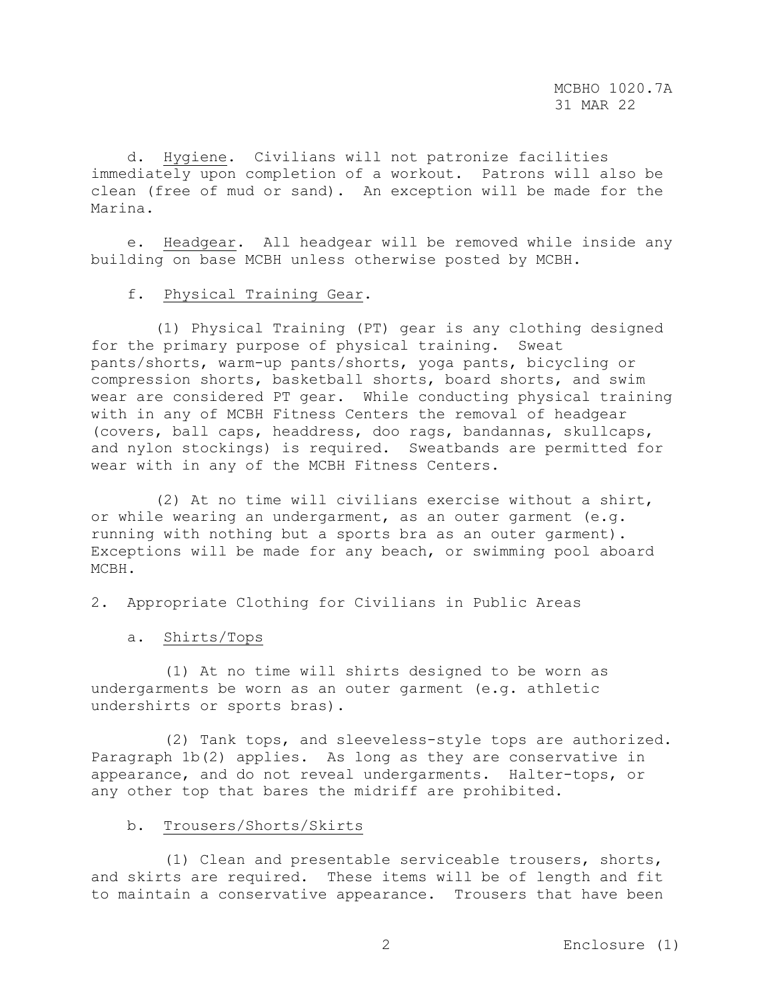d. Hygiene. Civilians will not patronize facilities immediately upon completion of a workout. Patrons will also be clean (free of mud or sand). An exception will be made for the Marina.

 e. Headgear. All headgear will be removed while inside any building on base MCBH unless otherwise posted by MCBH.

#### f. Physical Training Gear.

 (1) Physical Training (PT) gear is any clothing designed for the primary purpose of physical training. Sweat pants/shorts, warm-up pants/shorts, yoga pants, bicycling or compression shorts, basketball shorts, board shorts, and swim wear are considered PT gear. While conducting physical training with in any of MCBH Fitness Centers the removal of headgear (covers, ball caps, headdress, doo rags, bandannas, skullcaps, and nylon stockings) is required. Sweatbands are permitted for wear with in any of the MCBH Fitness Centers.

 (2) At no time will civilians exercise without a shirt, or while wearing an undergarment, as an outer garment (e.g. running with nothing but a sports bra as an outer garment). Exceptions will be made for any beach, or swimming pool aboard MCBH.

2. Appropriate Clothing for Civilians in Public Areas

a. Shirts/Tops

 (1) At no time will shirts designed to be worn as undergarments be worn as an outer garment (e.g. athletic undershirts or sports bras).

 (2) Tank tops, and sleeveless-style tops are authorized. Paragraph 1b(2) applies. As long as they are conservative in appearance, and do not reveal undergarments. Halter-tops, or any other top that bares the midriff are prohibited.

### b. Trousers/Shorts/Skirts

 (1) Clean and presentable serviceable trousers, shorts, and skirts are required. These items will be of length and fit to maintain a conservative appearance. Trousers that have been